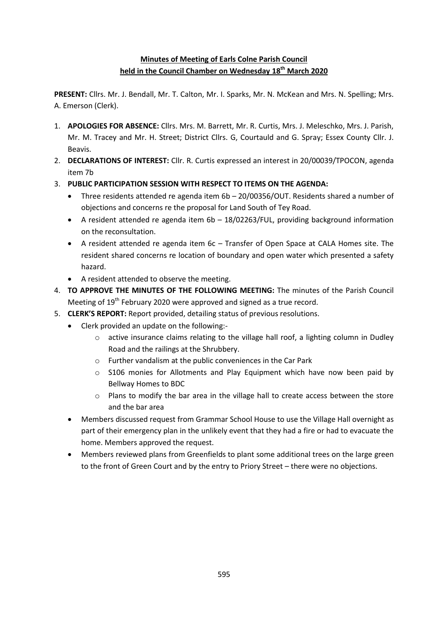# **Minutes of Meeting of Earls Colne Parish Council held in the Council Chamber on Wednesday 18th March 2020**

**PRESENT:** Cllrs. Mr. J. Bendall, Mr. T. Calton, Mr. I. Sparks, Mr. N. McKean and Mrs. N. Spelling; Mrs. A. Emerson (Clerk).

- 1. **APOLOGIES FOR ABSENCE:** Cllrs. Mrs. M. Barrett, Mr. R. Curtis, Mrs. J. Meleschko, Mrs. J. Parish, Mr. M. Tracey and Mr. H. Street; District Cllrs. G, Courtauld and G. Spray; Essex County Cllr. J. Beavis.
- 2. **DECLARATIONS OF INTEREST:** Cllr. R. Curtis expressed an interest in 20/00039/TPOCON, agenda item 7b
- 3. **PUBLIC PARTICIPATION SESSION WITH RESPECT TO ITEMS ON THE AGENDA:**
	- Three residents attended re agenda item 6b 20/00356/OUT. Residents shared a number of objections and concerns re the proposal for Land South of Tey Road.
	- A resident attended re agenda item 6b 18/02263/FUL, providing background information on the reconsultation.
	- A resident attended re agenda item 6c Transfer of Open Space at CALA Homes site. The resident shared concerns re location of boundary and open water which presented a safety hazard.
	- A resident attended to observe the meeting.
- 4. **TO APPROVE THE MINUTES OF THE FOLLOWING MEETING:** The minutes of the Parish Council Meeting of 19<sup>th</sup> February 2020 were approved and signed as a true record.
- 5. **CLERK'S REPORT:** Report provided, detailing status of previous resolutions.
	- Clerk provided an update on the following:
		- o active insurance claims relating to the village hall roof, a lighting column in Dudley Road and the railings at the Shrubbery.
		- o Further vandalism at the public conveniences in the Car Park
		- o S106 monies for Allotments and Play Equipment which have now been paid by Bellway Homes to BDC
		- o Plans to modify the bar area in the village hall to create access between the store and the bar area
	- Members discussed request from Grammar School House to use the Village Hall overnight as part of their emergency plan in the unlikely event that they had a fire or had to evacuate the home. Members approved the request.
	- Members reviewed plans from Greenfields to plant some additional trees on the large green to the front of Green Court and by the entry to Priory Street – there were no objections.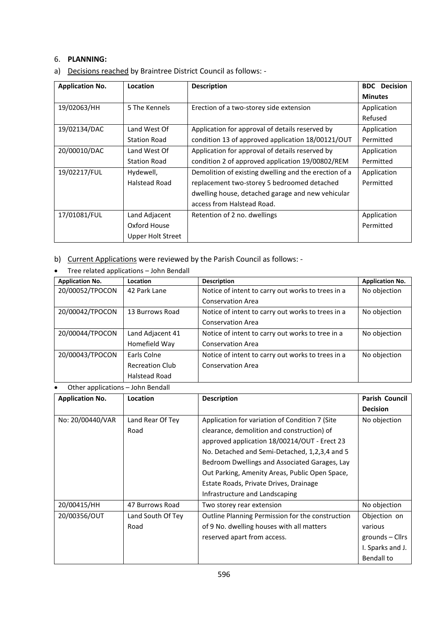## 6. **PLANNING:**

a) Decisions reached by Braintree District Council as follows: -

| <b>Application No.</b> | Location            | <b>Description</b>                                    | <b>Decision</b><br><b>BDC</b> |
|------------------------|---------------------|-------------------------------------------------------|-------------------------------|
|                        |                     |                                                       | <b>Minutes</b>                |
| 19/02063/HH            | 5 The Kennels       | Erection of a two-storey side extension               | Application                   |
|                        |                     |                                                       | Refused                       |
| 19/02134/DAC           | Land West Of        | Application for approval of details reserved by       | Application                   |
|                        | <b>Station Road</b> | condition 13 of approved application 18/00121/OUT     | Permitted                     |
| 20/00010/DAC           | Land West Of        | Application for approval of details reserved by       | Application                   |
|                        | <b>Station Road</b> | condition 2 of approved application 19/00802/REM      | Permitted                     |
| 19/02217/FUL           | Hydewell,           | Demolition of existing dwelling and the erection of a | Application                   |
|                        | Halstead Road       | replacement two-storey 5 bedroomed detached           | Permitted                     |
|                        |                     | dwelling house, detached garage and new vehicular     |                               |
|                        |                     | access from Halstead Road.                            |                               |
| 17/01081/FUL           | Land Adjacent       | Retention of 2 no. dwellings                          | Application                   |
|                        | Oxford House        |                                                       | Permitted                     |
|                        | Upper Holt Street   |                                                       |                               |

## b) Current Applications were reviewed by the Parish Council as follows: -

- **Application No. Location <b>Description Description Description Application No. Application No.**  $20/00052/TPOCON$  42 Park Lane Notice of intent to carry out works to trees in a [Conservation Area](https://publicaccess.braintree.gov.uk/online-applications/applicationDetails.do?keyVal=Q6KTPNBF07E00&activeTab=summary) No objection 20/00042/TPOCON 13 Burrows Road Notice of intent to carry out works to trees in a [Conservation Area](https://publicaccess.braintree.gov.uk/online-applications/applicationDetails.do?keyVal=Q5UTR9BF07E00&activeTab=summary) No objection 20/00044/TPOCON | Land Adjacent 41 Homefield Way [Notice of intent to carry out works to tree in a](https://publicaccess.braintree.gov.uk/online-applications/applicationDetails.do?keyVal=Q5UWKMBF07E00&activeTab=summary)  [Conservation Area](https://publicaccess.braintree.gov.uk/online-applications/applicationDetails.do?keyVal=Q5UWKMBF07E00&activeTab=summary) No objection 20/00043/TPOCON | Earls Colne Recreation Club Halstead Road [Notice of intent to carry out works to trees in a](https://publicaccess.braintree.gov.uk/online-applications/applicationDetails.do?keyVal=Q5UVMIBF07E00&activeTab=summary)  [Conservation Area](https://publicaccess.braintree.gov.uk/online-applications/applicationDetails.do?keyVal=Q5UVMIBF07E00&activeTab=summary) No objection
- Tree related applications John Bendall

#### Other applications – John Bendall

| <b>Application No.</b> | Location          | <b>Description</b>                               | <b>Parish Council</b> |
|------------------------|-------------------|--------------------------------------------------|-----------------------|
|                        |                   |                                                  | <b>Decision</b>       |
| No: 20/00440/VAR       | Land Rear Of Tey  | Application for variation of Condition 7 (Site   | No objection          |
|                        | Road              | clearance, demolition and construction) of       |                       |
|                        |                   | approved application 18/00214/OUT - Erect 23     |                       |
|                        |                   | No. Detached and Semi-Detached, 1,2,3,4 and 5    |                       |
|                        |                   | Bedroom Dwellings and Associated Garages, Lay    |                       |
|                        |                   | Out Parking, Amenity Areas, Public Open Space,   |                       |
|                        |                   | Estate Roads, Private Drives, Drainage           |                       |
|                        |                   | Infrastructure and Landscaping                   |                       |
| 20/00415/HH            | 47 Burrows Road   | Two storey rear extension                        | No objection          |
| 20/00356/OUT           | Land South Of Tey | Outline Planning Permission for the construction | Objection on          |
|                        | Road              | of 9 No. dwelling houses with all matters        | various               |
|                        |                   | reserved apart from access.                      | grounds – Cllrs       |
|                        |                   |                                                  | I. Sparks and J.      |
|                        |                   |                                                  | <b>Bendall to</b>     |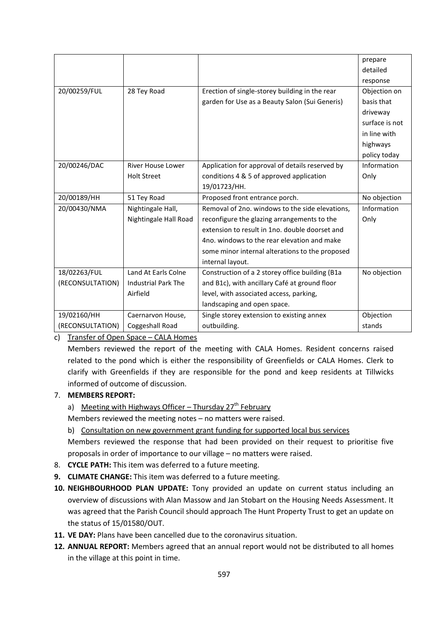|                  |                            |                                                 | prepare        |
|------------------|----------------------------|-------------------------------------------------|----------------|
|                  |                            |                                                 | detailed       |
|                  |                            |                                                 | response       |
| 20/00259/FUL     | 28 Tey Road                | Erection of single-storey building in the rear  | Objection on   |
|                  |                            | garden for Use as a Beauty Salon (Sui Generis)  | basis that     |
|                  |                            |                                                 | driveway       |
|                  |                            |                                                 | surface is not |
|                  |                            |                                                 | in line with   |
|                  |                            |                                                 | highways       |
|                  |                            |                                                 | policy today   |
| 20/00246/DAC     | <b>River House Lower</b>   | Application for approval of details reserved by | Information    |
|                  | <b>Holt Street</b>         | conditions 4 & 5 of approved application        | Only           |
|                  |                            | 19/01723/HH.                                    |                |
| 20/00189/HH      | 51 Tey Road                | Proposed front entrance porch.                  | No objection   |
| 20/00430/NMA     | Nightingale Hall,          | Removal of 2no. windows to the side elevations, | Information    |
|                  | Nightingale Hall Road      | reconfigure the glazing arrangements to the     | Only           |
|                  |                            | extension to result in 1no. double doorset and  |                |
|                  |                            | 4no, windows to the rear elevation and make     |                |
|                  |                            | some minor internal alterations to the proposed |                |
|                  |                            | internal layout.                                |                |
| 18/02263/FUL     | Land At Earls Colne        | Construction of a 2 storey office building (B1a | No objection   |
| (RECONSULTATION) | <b>Industrial Park The</b> | and B1c), with ancillary Café at ground floor   |                |
|                  | Airfield                   | level, with associated access, parking,         |                |
|                  |                            | landscaping and open space.                     |                |
| 19/02160/HH      | Caernarvon House,          | Single storey extension to existing annex       | Objection      |
|                  |                            |                                                 |                |

## c) Transfer of Open Space – CALA Homes

Members reviewed the report of the meeting with CALA Homes. Resident concerns raised related to the pond which is either the responsibility of Greenfields or CALA Homes. Clerk to clarify with Greenfields if they are responsible for the pond and keep residents at Tillwicks informed of outcome of discussion.

## 7. **MEMBERS REPORT:**

a) Meeting with Highways Officer – Thursday  $27<sup>th</sup>$  February

Members reviewed the meeting notes – no matters were raised.

b) Consultation on new government grant funding for supported local bus services

Members reviewed the response that had been provided on their request to prioritise five proposals in order of importance to our village – no matters were raised.

- 8. **CYCLE PATH:** This item was deferred to a future meeting.
- **9. CLIMATE CHANGE:** This item was deferred to a future meeting.
- **10. NEIGHBOURHOOD PLAN UPDATE:** Tony provided an update on current status including an overview of discussions with Alan Massow and Jan Stobart on the Housing Needs Assessment. It was agreed that the Parish Council should approach The Hunt Property Trust to get an update on the status of 15/01580/OUT.
- **11. VE DAY:** Plans have been cancelled due to the coronavirus situation.
- **12. ANNUAL REPORT:** Members agreed that an annual report would not be distributed to all homes in the village at this point in time.